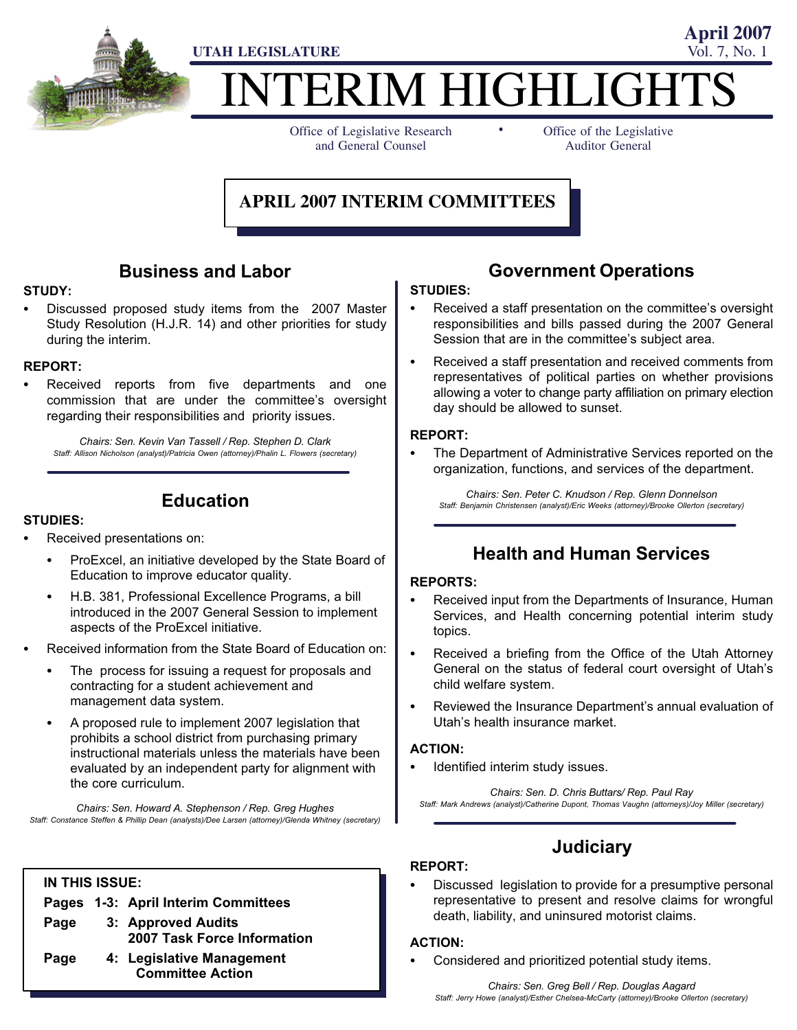

# TERIM HIGHLIGHT -

Office of Legislative Research and General Counsel

Office of the Legislative Auditor General

**April 2007**

#### **APRIL 2007 INTERIM COMMITTEES**

#### Business and Labor

### STUDY: -

 Discussed proposed study items from the 2007 Master Study Resolution (H.J.R. 14) and other priorities for study during the interim.

## REPORT:<br>-

 Received reports from five departments and one commission that are under the committee's oversight regarding their responsibilities and priority issues.

Chairs: Sen. Kevin Van Tassell / Rep. Stephen D. Clark Staff: Allison Nicholson (analyst)/Patricia Owen (attorney)/Phalin L. Flowers (secretary)

#### Education

### STUDIES: -

- Received presentations on:
	- ProExcel, an initiative developed by the State Board of Education to improve educator quality.
	- H.B. 381, Professional Excellence Programs, a bill introduced in the 2007 General Session to implement aspects of the ProExcel initiative.
- Received information from the State Board of Education on:
	- The process for issuing a request for proposals and contracting for a student achievement and management data system.
	- A proposed rule to implement 2007 legislation that prohibits a school district from purchasing primary instructional materials unless the materials have been evaluated by an independent party for alignment with the core curriculum.

Chairs: Sen. Howard A. Stephenson / Rep. Greg Hughes Staff: Constance Steffen & Phillip Dean (analysts)/Dee Larsen (attorney)/Glenda Whitney (secretary)

#### IN THIS ISSUE:

|      | Pages 1-3: April Interim Committees                  |
|------|------------------------------------------------------|
| Page | 3: Approved Audits<br>2007 Task Force Information    |
| Page | 4: Legislative Management<br><b>Committee Action</b> |

#### Government Operations

## STUDIES:<br>-

- Received a staff presentation on the committee's oversight responsibilities and bills passed during the 2007 General Session that are in the committee's subject area.
- Received a staff presentation and received comments from representatives of political parties on whether provisions allowing a voter to change party affiliation on primary election day should be allowed to sunset.

#### REPORT:<br>—

 The Department of Administrative Services reported on the organization, functions, and services of the department.

Chairs: Sen. Peter C. Knudson / Rep. Glenn Donnelson Staff: Benjamin Christensen (analyst)/Eric Weeks (attorney)/Brooke Ollerton (secretary)

#### Health and Human Services

#### REPORTS:<br>—

- Received input from the Departments of Insurance, Human Services, and Health concerning potential interim study topics.
- Received a briefing from the Office of the Utah Attorney General on the status of federal court oversight of Utah's child welfare system.
- Reviewed the Insurance Department's annual evaluation of Utah's health insurance market.

## ACTION:<br>..

Identified interim study issues.

Chairs: Sen. D. Chris Buttars/ Rep. Paul Ray Staff: Mark Andrews (analyst)/Catherine Dupont, Thomas Vaughn (attorneys)/Joy Miller (secretary)

### **Judiciary**

#### REPORT:

 Discussed legislation to provide for a presumptive personal representative to present and resolve claims for wrongful death, liability, and uninsured motorist claims.

#### ACTION: -

Considered and prioritized potential study items.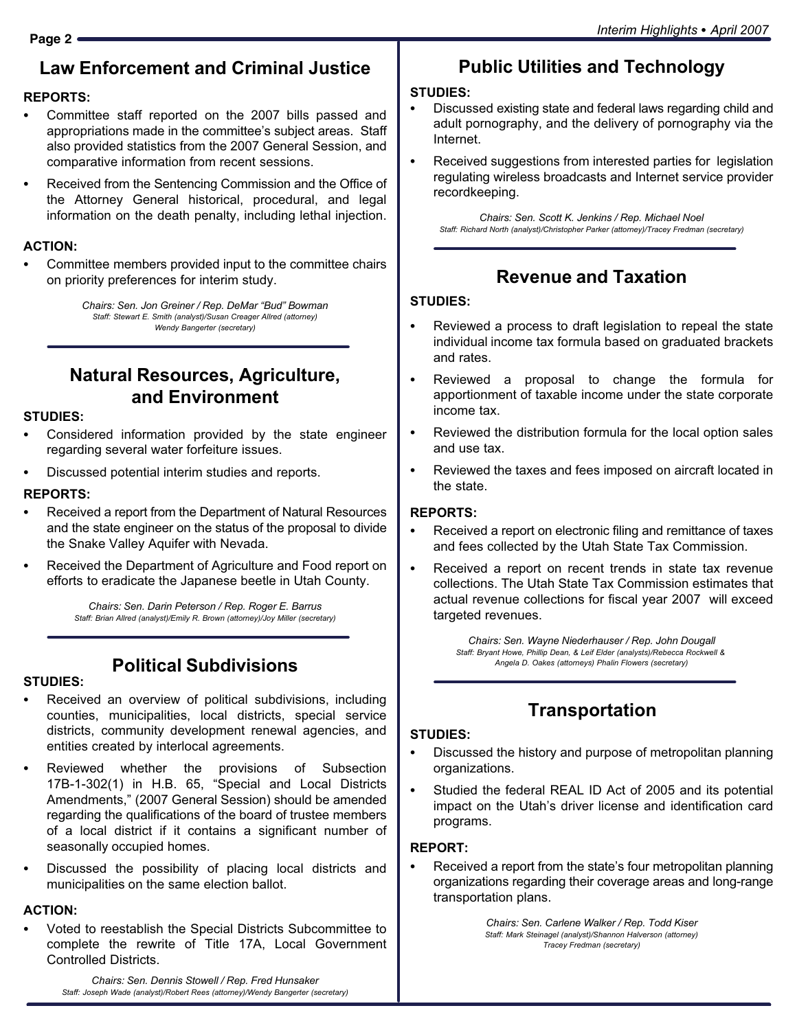## Law Enforcement and Criminal Justice

## REPORTS:<br>-

- Committee staff reported on the 2007 bills passed and appropriations made in the committee's subject areas. Staff also provided statistics from the 2007 General Session, and comparative information from recent sessions.
- Received from the Sentencing Commission and the Office of the Attorney General historical, procedural, and legal information on the death penalty, including lethal injection.

## ACTION: -

 Committee members provided input to the committee chairs on priority preferences for interim study.

> Chairs: Sen. Jon Greiner / Rep. DeMar "Bud" Bowman Staff: Stewart E. Smith (analyst)/Susan Creager Allred (attorney) Wendy Bangerter (secretary)

### Natural Resources, Agriculture, and Environment

## STUDIES:<br>-

- Considered information provided by the state engineer regarding several water forfeiture issues.
- Discussed potential interim studies and reports.

## REPORTS: -

- Received a report from the Department of Natural Resources and the state engineer on the status of the proposal to divide the Snake Valley Aquifer with Nevada.
- Received the Department of Agriculture and Food report on efforts to eradicate the Japanese beetle in Utah County.

Chairs: Sen. Darin Peterson / Rep. Roger E. Barrus Staff: Brian Allred (analyst)/Emily R. Brown (attorney)/Joy Miller (secretary)

### Political Subdivisions

## STUDIES:<br>-

- Received an overview of political subdivisions, including counties, municipalities, local districts, special service districts, community development renewal agencies, and entities created by interlocal agreements.
- Reviewed whether the provisions of Subsection 17B-1-302(1) in H.B. 65, "Special and Local Districts Amendments," (2007 General Session) should be amended regarding the qualifications of the board of trustee members of a local district if it contains a significant number of seasonally occupied homes.
- Discussed the possibility of placing local districts and municipalities on the same election ballot.

## ACTION:

 Voted to reestablish the Special Districts Subcommittee to complete the rewrite of Title 17A, Local Government Controlled Districts.

#### STUDIES:<br>-

- Discussed existing state and federal laws regarding child and adult pornography, and the delivery of pornography via the Internet.
- Received suggestions from interested parties for legislation regulating wireless broadcasts and Internet service provider recordkeeping.

Chairs: Sen. Scott K. Jenkins / Rep. Michael Noel Staff: Richard North (analyst)/Christopher Parker (attorney)/Tracey Fredman (secretary)

## Revenue and Taxation

#### STUDIES:

- Reviewed a process to draft legislation to repeal the state individual income tax formula based on graduated brackets and rates.
- $\bullet$  Reviewed a proposal to change the formula for apportionment of taxable income under the state corporate income tax.
- Reviewed the distribution formula for the local option sales and use tax.
- Reviewed the taxes and fees imposed on aircraft located in the state.

## REPORTS: -

- Received a report on electronic filing and remittance of taxes and fees collected by the Utah State Tax Commission.
- Received a report on recent trends in state tax revenue collections. The Utah State Tax Commission estimates that actual revenue collections for fiscal year 2007 will exceed targeted revenues.

Chairs: Sen. Wayne Niederhauser / Rep. John Dougall Staff: Bryant Howe, Phillip Dean, & Leif Elder (analysts)/Rebecca Rockwell & Angela D. Oakes (attorneys) Phalin Flowers (secretary)

## **Transportation**

### STUDIES:<br>-

- Discussed the history and purpose of metropolitan planning organizations.
- Studied the federal REAL ID Act of 2005 and its potential impact on the Utah's driver license and identification card programs.

## REPORT: -

 Received a report from the state's four metropolitan planning organizations regarding their coverage areas and long−range transportation plans.

> Chairs: Sen. Carlene Walker / Rep. Todd Kiser Staff: Mark Steinagel (analyst)/Shannon Halverson (attorney) Tracey Fredman (secretary)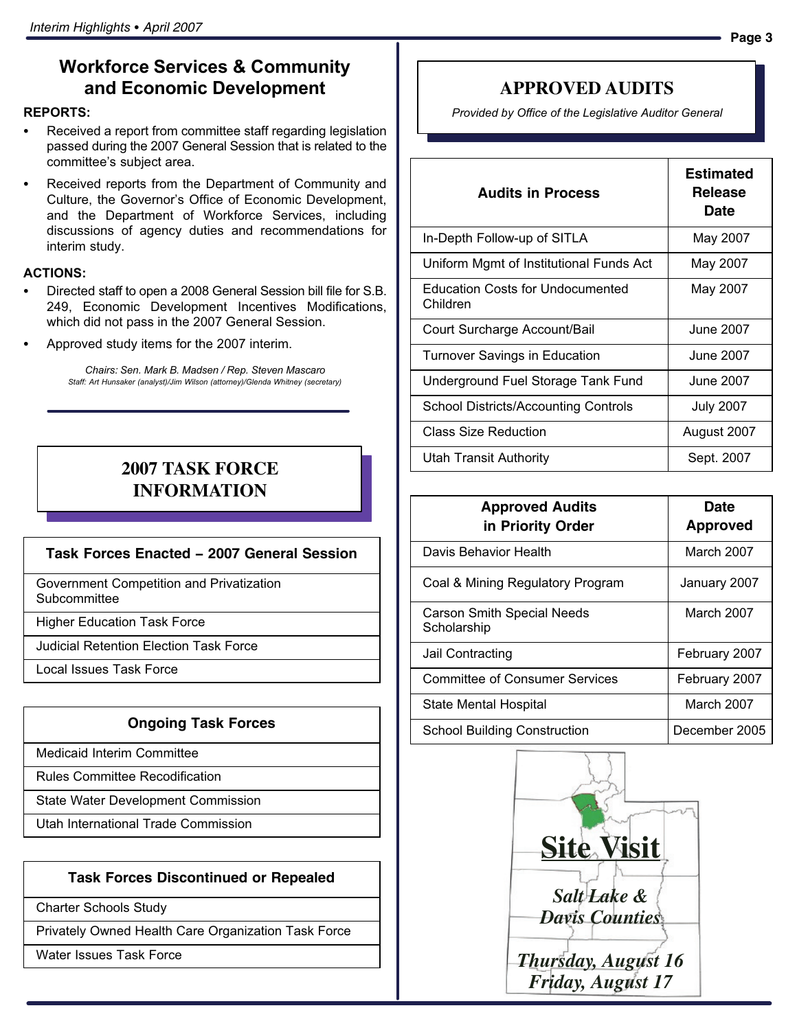#### Workforce Services & Community and Economic Development

## REPORTS: -

- Received a report from committee staff regarding legislation passed during the 2007 General Session that is related to the committee's subject area.
- Received reports from the Department of Community and Culture, the Governor's Office of Economic Development, and the Department of Workforce Services, including discussions of agency duties and recommendations for interim study.

### ACTIONS:

- Directed staff to open a 2008 General Session bill file for S.B. 249, Economic Development Incentives Modifications, which did not pass in the 2007 General Session.
- Approved study items for the 2007 interim.

Chairs: Sen. Mark B. Madsen / Rep. Steven Mascaro Staff: Art Hunsaker (analyst)/Jim Wilson (attorney)/Glenda Whitney (secretary)

#### **2007 TASK FORCE INFORMATION**

#### **Task Forces Enacted − 2007 General Session**

Government Competition and Privatization **Subcommittee** 

Higher Education Task Force

Judicial Retention Election Task Force

Local Issues Task Force

#### **Ongoing Task Forces**

Medicaid Interim Committee

Rules Committee Recodification

State Water Development Commission

Utah International Trade Commission

#### **Task Forces Discontinued or Repealed**

Charter Schools Study

Privately Owned Health Care Organization Task Force

Water Issues Task Force

#### **APPROVED AUDITS**

Provided by Office of the Legislative Auditor General

| <b>Audits in Process</b>                     | <b>Estimated</b><br>Release<br>Date |
|----------------------------------------------|-------------------------------------|
| In-Depth Follow-up of SITLA                  | May 2007                            |
| Uniform Mgmt of Institutional Funds Act      | May 2007                            |
| Education Costs for Undocumented<br>Children | May 2007                            |
| Court Surcharge Account/Bail                 | June 2007                           |
| <b>Turnover Savings in Education</b>         | June 2007.                          |
| Underground Fuel Storage Tank Fund           | June 2007                           |
| <b>School Districts/Accounting Controls</b>  | July 2007                           |
| Class Size Reduction                         | August 2007                         |
| Utah Transit Authority                       | Sept. 2007                          |

| <b>Approved Audits</b><br>in Priority Order      | Date<br><b>Approved</b> |
|--------------------------------------------------|-------------------------|
| Davis Behavior Health                            | March 2007              |
| Coal & Mining Regulatory Program                 | January 2007            |
| <b>Carson Smith Special Needs</b><br>Scholarship | March 2007              |
| Jail Contracting                                 | February 2007           |
| <b>Committee of Consumer Services</b>            | February 2007           |
| State Mental Hospital                            | March 2007              |
| School Building Construction                     | December 2005           |